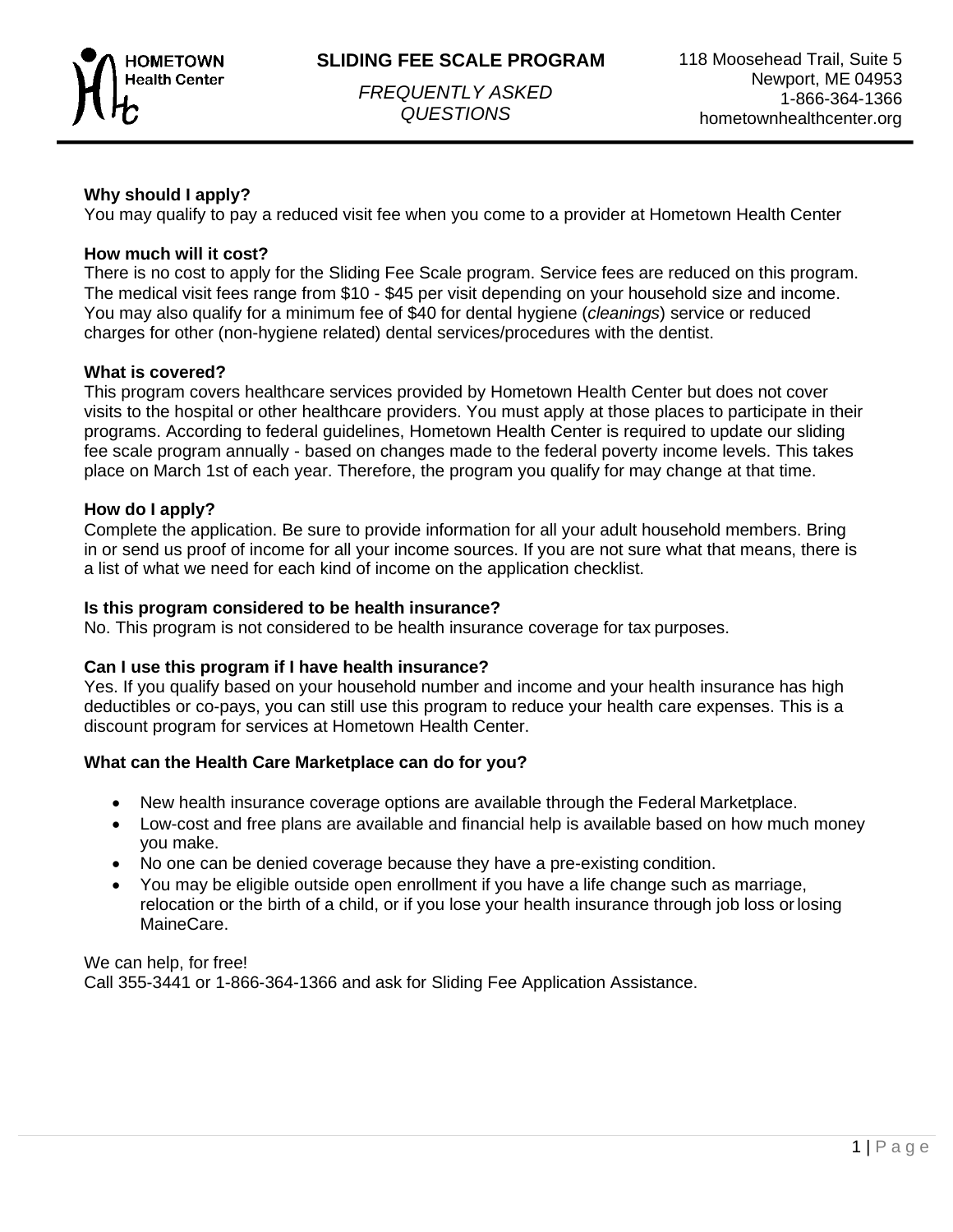



*FREQUENTLY ASKED QUESTIONS*

# **Why should I apply?**

You may qualify to pay a reduced visit fee when you come to a provider at Hometown Health Center

## **How much will it cost?**

There is no cost to apply for the Sliding Fee Scale program. Service fees are reduced on this program. The medical visit fees range from \$10 - \$45 per visit depending on your household size and income. You may also qualify for a minimum fee of \$40 for dental hygiene (*cleanings*) service or reduced charges for other (non-hygiene related) dental services/procedures with the dentist.

## **What is covered?**

This program covers healthcare services provided by Hometown Health Center but does not cover visits to the hospital or other healthcare providers. You must apply at those places to participate in their programs. According to federal guidelines, Hometown Health Center is required to update our sliding fee scale program annually - based on changes made to the federal poverty income levels. This takes place on March 1st of each year. Therefore, the program you qualify for may change at that time.

## **How do I apply?**

Complete the application. Be sure to provide information for all your adult household members. Bring in or send us proof of income for all your income sources. If you are not sure what that means, there is a list of what we need for each kind of income on the application checklist.

#### **Is this program considered to be health insurance?**

No. This program is not considered to be health insurance coverage for tax purposes.

#### **Can I use this program if I have health insurance?**

Yes. If you qualify based on your household number and income and your health insurance has high deductibles or co-pays, you can still use this program to reduce your health care expenses. This is a discount program for services at Hometown Health Center.

#### **What can the Health Care Marketplace can do for you?**

- New health insurance coverage options are available through the Federal Marketplace.
- Low-cost and free plans are available and financial help is available based on how much money you make.
- No one can be denied coverage because they have a pre-existing condition.
- You may be eligible outside open enrollment if you have a life change such as marriage, relocation or the birth of a child, or if you lose your health insurance through job loss orlosing MaineCare.

We can help, for free! Call 355-3441 or 1-866-364-1366 and ask for Sliding Fee Application Assistance.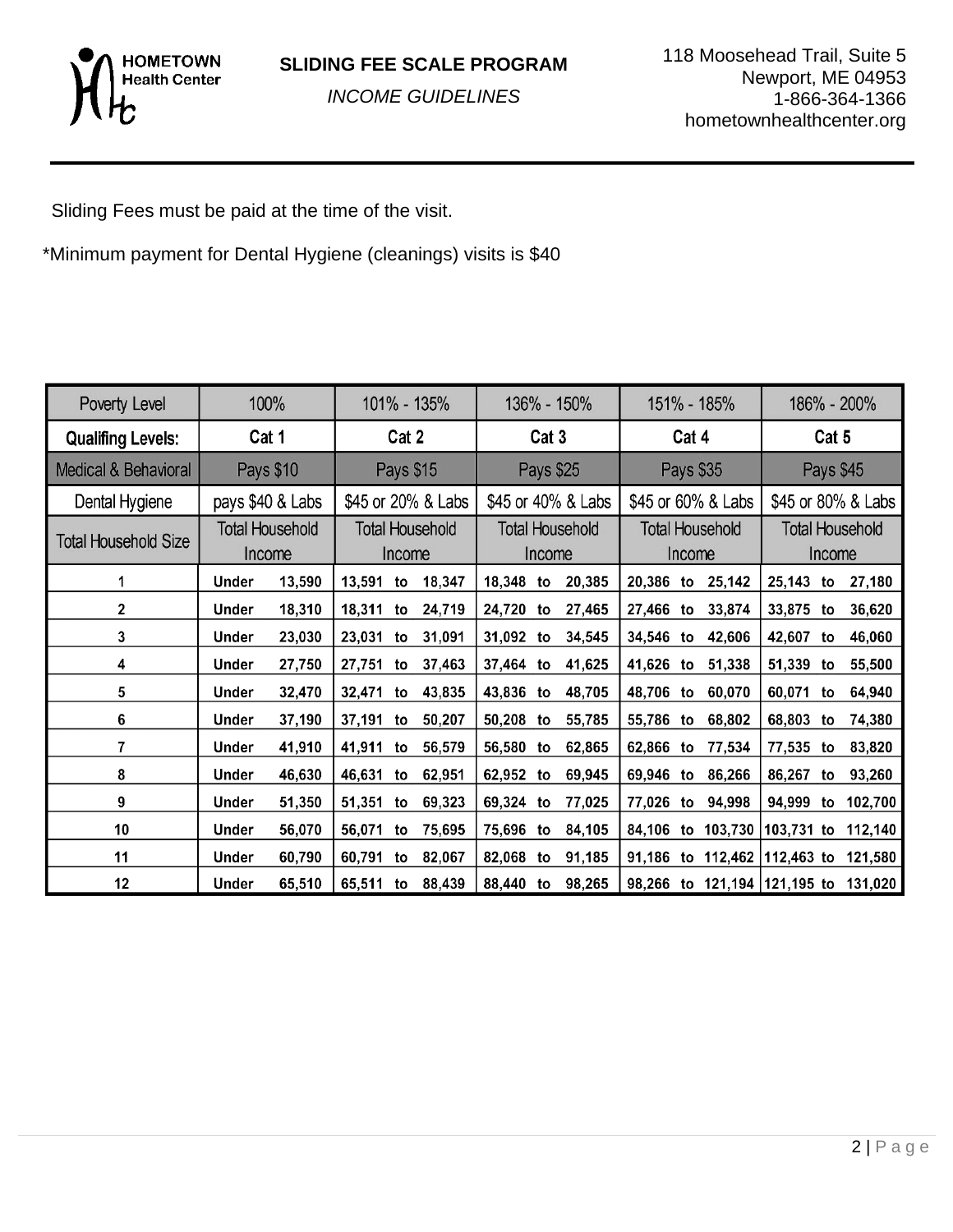

*INCOME GUIDELINES*

Sliding Fees must be paid at the time of the visit.

\*Minimum payment for Dental Hygiene (cleanings) visits is \$40

| Poverty Level               | 100%                             |                  | 101% - 135%                      |    | 136% - 150%                      |           | 151% - 185%                      |        | 186% - 200%                      |    |                                      |           |    |         |
|-----------------------------|----------------------------------|------------------|----------------------------------|----|----------------------------------|-----------|----------------------------------|--------|----------------------------------|----|--------------------------------------|-----------|----|---------|
| <b>Qualifing Levels:</b>    | Cat 1                            |                  | Cat 2                            |    | Cat 3                            |           | Cat 4                            |        | Cat 5                            |    |                                      |           |    |         |
| Medical & Behavioral        | Pays \$10                        |                  | Pays \$15                        |    | Pays \$25                        |           | Pays \$35                        |        | Pays \$45                        |    |                                      |           |    |         |
| Dental Hygiene              |                                  | pays \$40 & Labs | \$45 or 20% & Labs               |    | \$45 or 40% & Labs               |           | \$45 or 60% & Labs               |        | \$45 or 80% & Labs               |    |                                      |           |    |         |
| <b>Total Household Size</b> | <b>Total Household</b><br>Income |                  | <b>Total Household</b><br>Income |    | <b>Total Household</b><br>Income |           | <b>Total Household</b><br>Income |        | <b>Total Household</b><br>Income |    |                                      |           |    |         |
| 1                           | Under                            | 13,590           | 13,591                           | to | 18,347                           | 18,348 to |                                  | 20,385 |                                  |    | 20,386 to 25,142                     | 25,143 to |    | 27,180  |
| $\overline{2}$              | Under                            | 18,310           | 18,311                           | to | 24,719                           | 24,720    | to                               | 27,465 | 27,466 to                        |    | 33,874                               | 33,875 to |    | 36,620  |
| 3                           | Under                            | 23,030           | 23,031                           | to | 31,091                           | 31,092 to |                                  | 34,545 | 34,546 to                        |    | 42,606                               | 42,607 to |    | 46,060  |
| 4                           | Under                            | 27,750           | 27,751                           | to | 37,463                           | 37,464 to |                                  | 41,625 | 41,626 to                        |    | 51,338                               | 51,339 to |    | 55,500  |
| 5                           | Under                            | 32,470           | 32,471                           | to | 43,835                           | 43,836 to |                                  | 48,705 | 48,706 to                        |    | 60,070                               | 60,071 to |    | 64,940  |
| 6                           | Under                            | 37,190           | 37,191                           | to | 50,207                           | 50,208    | to                               | 55,785 | 55,786 to                        |    | 68,802                               | 68,803 to |    | 74,380  |
| 7                           | Under                            | 41,910           | 41,911                           | to | 56,579                           | 56,580    | to                               | 62,865 | 62,866 to                        |    | 77,534                               | 77,535 to |    | 83,820  |
| 8                           | Under                            | 46,630           | 46,631                           | to | 62,951                           | 62,952    | to                               | 69,945 | 69,946                           | to | 86,266                               | 86,267 to |    | 93,260  |
| 9                           | Under                            | 51,350           | 51,351                           | to | 69,323                           | 69,324    | to                               | 77,025 | 77,026                           | to | 94,998                               | 94,999    | to | 102,700 |
| 10                          | Under                            | 56,070           | 56,071                           | to | 75,695                           | 75,696 to |                                  | 84,105 |                                  |    | 84,106 to 103,730 103,731 to         |           |    | 112,140 |
| 11                          | <b>Under</b>                     | 60,790           | 60,791                           | to | 82,067                           | 82,068    | to                               | 91,185 |                                  |    | 91,186 to 112,462 112,463 to 121,580 |           |    |         |
| 12                          | Under                            | 65,510           | 65,511                           | to | 88,439                           | 88,440    | to                               | 98,265 |                                  |    | 98,266 to 121,194 121,195 to 131,020 |           |    |         |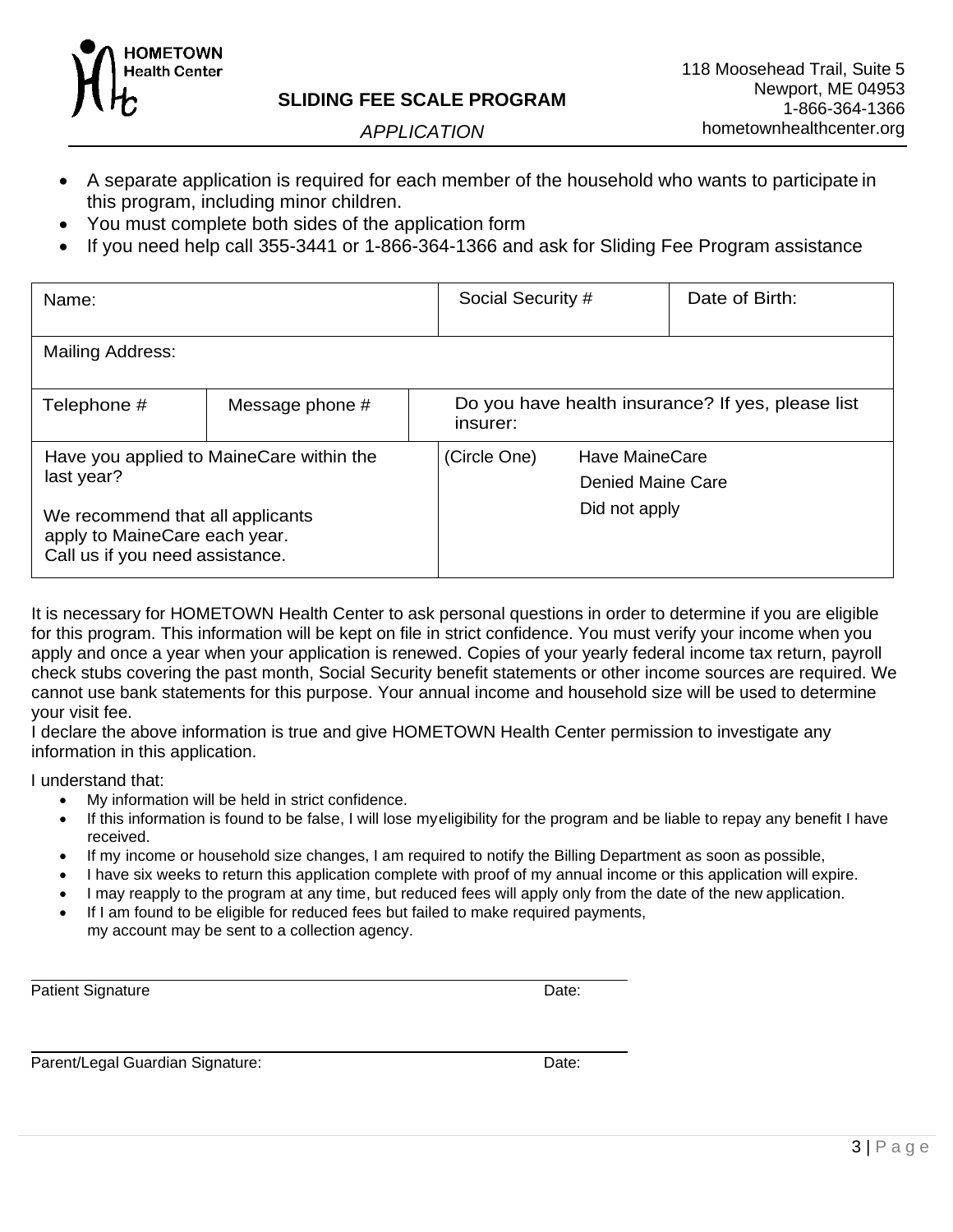

*APPLICATION*

- A separate application is required for each member of the household who wants to participate in this program, including minor children.
- You must complete both sides of the application form
- If you need help call 355-3441 or 1-866-364-1366 and ask for Sliding Fee Program assistance

| Name:                                                                                                |  |                                                               | Date of Birth:<br>Social Security # |                          |
|------------------------------------------------------------------------------------------------------|--|---------------------------------------------------------------|-------------------------------------|--------------------------|
| <b>Mailing Address:</b>                                                                              |  |                                                               |                                     |                          |
| Message phone #<br>Telephone #                                                                       |  | Do you have health insurance? If yes, please list<br>insurer: |                                     |                          |
| Have you applied to MaineCare within the<br>last year?                                               |  | (Circle One)<br>Have MaineCare                                |                                     |                          |
|                                                                                                      |  |                                                               |                                     | <b>Denied Maine Care</b> |
| We recommend that all applicants<br>apply to MaineCare each year.<br>Call us if you need assistance. |  |                                                               | Did not apply                       |                          |

It is necessary for HOMETOWN Health Center to ask personal questions in order to determine if you are eligible for this program. This information will be kept on file in strict confidence. You must verify your income when you apply and once a year when your application is renewed. Copies of your yearly federal income tax return, payroll check stubs covering the past month, Social Security benefit statements or other income sources are required. We cannot use bank statements for this purpose. Your annual income and household size will be used to determine your visit fee.

I declare the above information is true and give HOMETOWN Health Center permission to investigate any information in this application.

I understand that:

- My information will be held in strict confidence.
- If this information is found to be false, I will lose myeligibility for the program and be liable to repay any benefit I have received.
- If my income or household size changes, I am required to notify the Billing Department as soon as possible,
- I have six weeks to return this application complete with proof of my annual income or this application will expire.
- I may reapply to the program at any time, but reduced fees will apply only from the date of the new application.
- If I am found to be eligible for reduced fees but failed to make required payments, my account may be sent to a collection agency.

Patient Signature Date: **Date:** Date: **Date:** Date: **Date: Date: Date: Date: Date: Date: Date: Date: Date: Date: Date: Date: Date: Date: Date: Date: Date: Date: Date: Date: Date: D** 

Parent/Legal Guardian Signature: Date: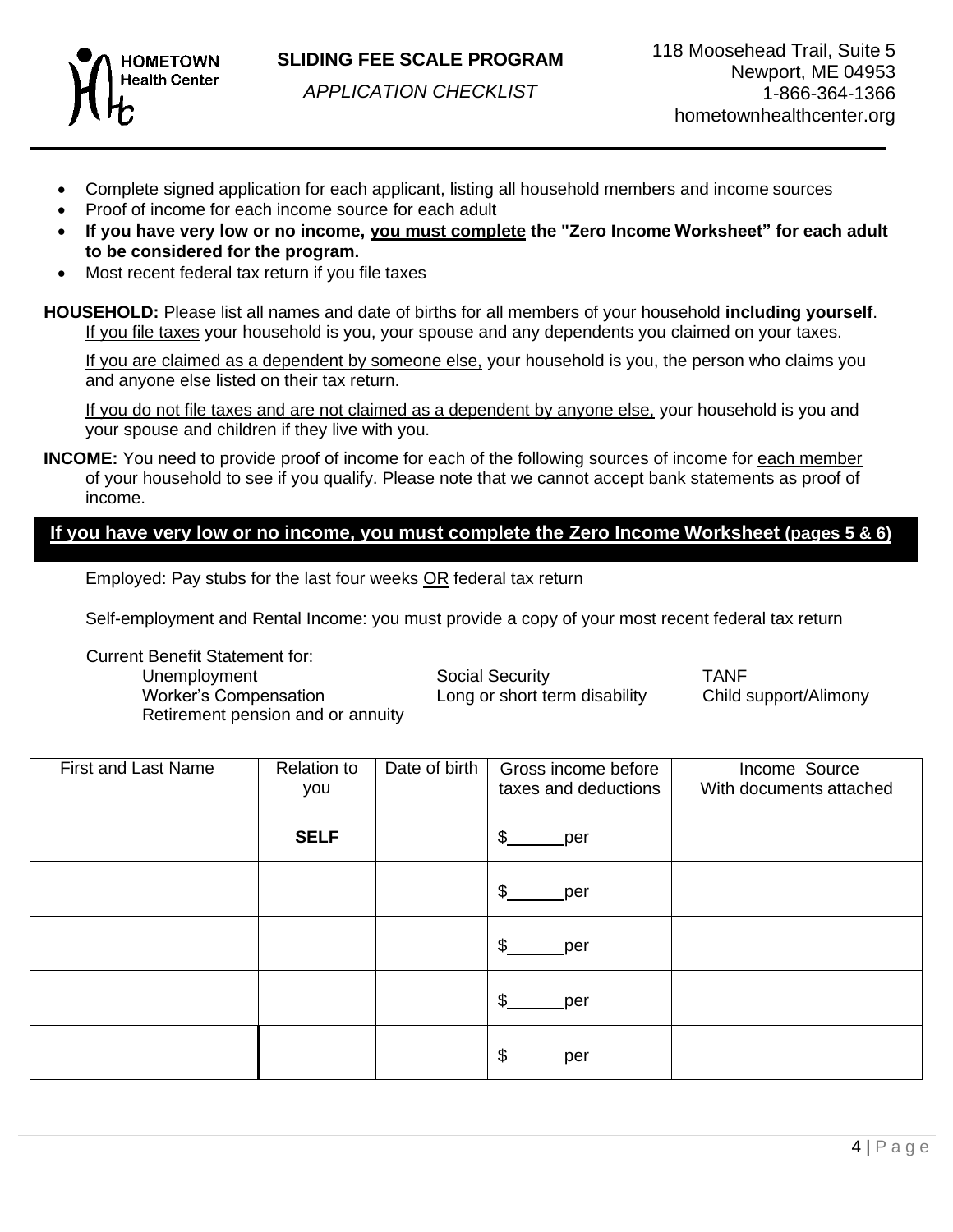

## **SLIDING FEE SCALE PROGRAM**

*APPLICATION CHECKLIST*

- Complete signed application for each applicant, listing all household members and income sources
- Proof of income for each income source for each adult
- **If you have very low or no income, you must complete the "Zero Income Worksheet" for each adult to be considered for the program.**
- Most recent federal tax return if you file taxes

**HOUSEHOLD:** Please list all names and date of births for all members of your household **including yourself**. If you file taxes your household is you, your spouse and any dependents you claimed on your taxes.

If you are claimed as a dependent by someone else, your household is you, the person who claims you and anyone else listed on their tax return.

If you do not file taxes and are not claimed as a dependent by anyone else, your household is you and your spouse and children if they live with you.

**INCOME:** You need to provide proof of income for each of the following sources of income for each member of your household to see if you qualify. Please note that we cannot accept bank statements as proof of income.

# <u>If you have very low or no income, you must complete the Zero Income Worksheet (pages 5 & 6)</u>

Employed: Pay stubs for the last four weeks OR federal tax return

Self-employment and Rental Income: you must provide a copy of your most recent federal tax return

Current Benefit Statement for:

Unemployment Social Security TANF Worker's Compensation Long or short term disability Child support/Alimony Retirement pension and or annuity

| <b>First and Last Name</b> | <b>Relation to</b><br>you | Date of birth | Gross income before<br>taxes and deductions | Income Source<br>With documents attached |
|----------------------------|---------------------------|---------------|---------------------------------------------|------------------------------------------|
|                            | <b>SELF</b>               |               | \$<br>per                                   |                                          |
|                            |                           |               | \$<br>_per                                  |                                          |
|                            |                           |               | $\mathfrak{L}$<br>per                       |                                          |
|                            |                           |               | \$<br>per                                   |                                          |
|                            |                           |               | \$.<br>per                                  |                                          |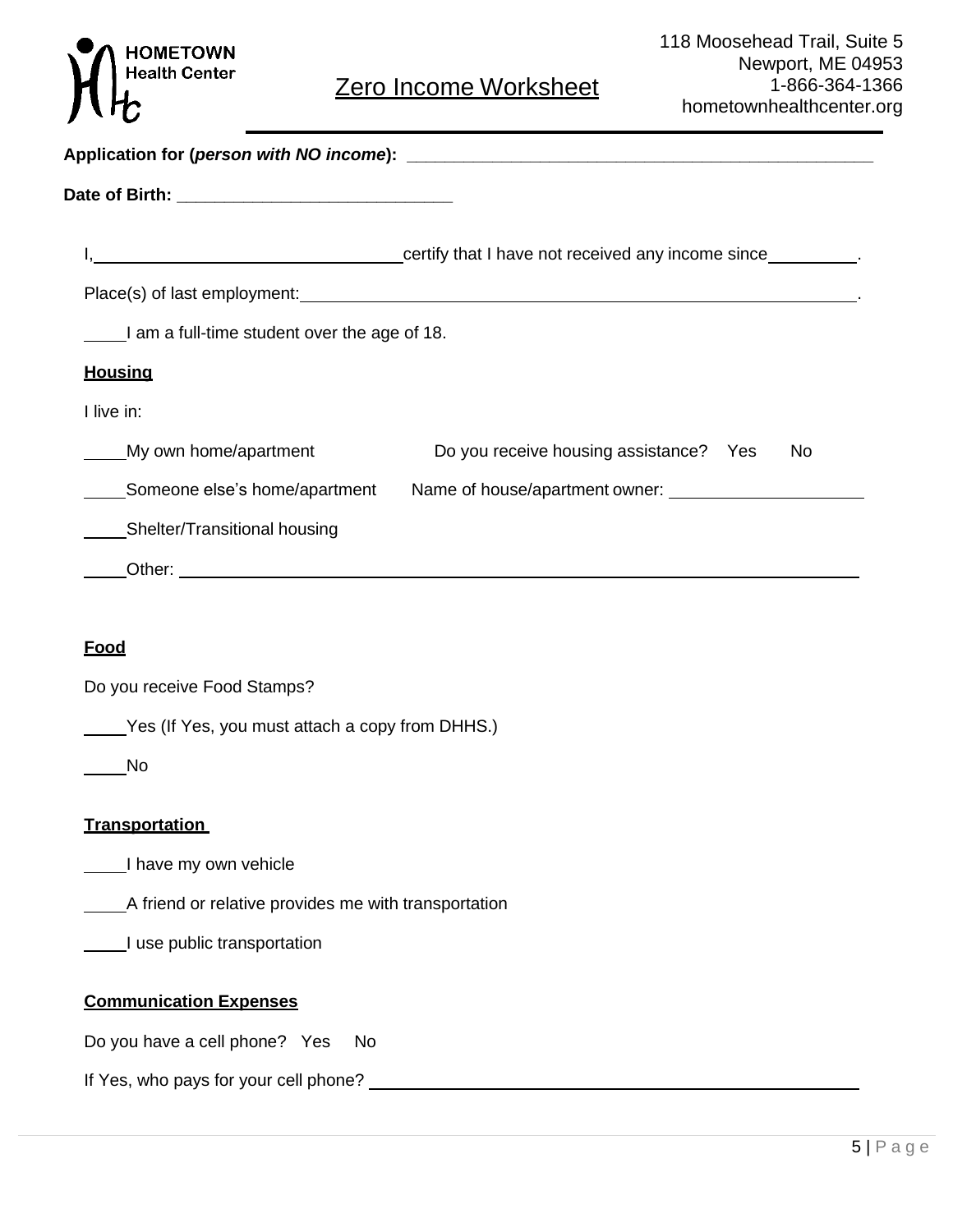# **HOMETOWN**<br>Health Center

# Zero Income Worksheet

|                                                      | certify that I have not received any income since_________.                                                                                                                                                                    |
|------------------------------------------------------|--------------------------------------------------------------------------------------------------------------------------------------------------------------------------------------------------------------------------------|
|                                                      | Place(s) of last employment: example and the state of the state of the state of the state of the state of the state of the state of the state of the state of the state of the state of the state of the state of the state of |
| I am a full-time student over the age of 18.         |                                                                                                                                                                                                                                |
| <b>Housing</b>                                       |                                                                                                                                                                                                                                |
| I live in:                                           |                                                                                                                                                                                                                                |
| My own home/apartment                                | Do you receive housing assistance? Yes<br>No                                                                                                                                                                                   |
| Someone else's home/apartment                        |                                                                                                                                                                                                                                |
| Shelter/Transitional housing                         |                                                                                                                                                                                                                                |
|                                                      | Other: example and the state of the state of the state of the state of the state of the state of the state of the state of the state of the state of the state of the state of the state of the state of the state of the stat |
|                                                      |                                                                                                                                                                                                                                |
| <b>Food</b>                                          |                                                                                                                                                                                                                                |
| Do you receive Food Stamps?                          |                                                                                                                                                                                                                                |
| Yes (If Yes, you must attach a copy from DHHS.)      |                                                                                                                                                                                                                                |
| No                                                   |                                                                                                                                                                                                                                |
| <b>Transportation</b>                                |                                                                                                                                                                                                                                |
| I have my own vehicle                                |                                                                                                                                                                                                                                |
| A friend or relative provides me with transportation |                                                                                                                                                                                                                                |
|                                                      |                                                                                                                                                                                                                                |

# **Communication Expenses**

Do you have a cell phone? Yes No

If Yes, who pays for your cell phone?